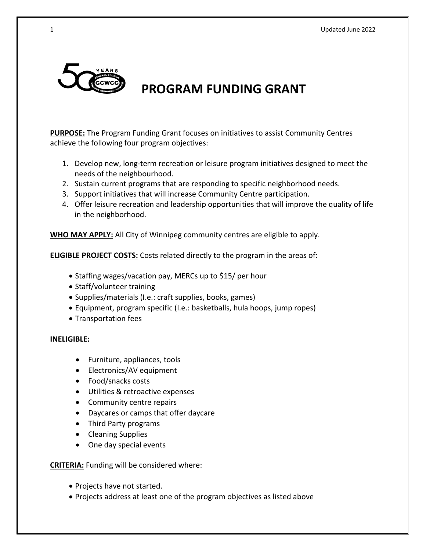

# **PROGRAM FUNDING GRANT**

**PURPOSE:** The Program Funding Grant focuses on initiatives to assist Community Centres achieve the following four program objectives:

- 1. Develop new, long-term recreation or leisure program initiatives designed to meet the needs of the neighbourhood.
- 2. Sustain current programs that are responding to specific neighborhood needs.
- 3. Support initiatives that will increase Community Centre participation.
- 4. Offer leisure recreation and leadership opportunities that will improve the quality of life in the neighborhood.

**WHO MAY APPLY:** All City of Winnipeg community centres are eligible to apply.

**ELIGIBLE PROJECT COSTS:** Costs related directly to the program in the areas of:

- Staffing wages/vacation pay, MERCs up to \$15/ per hour
- Staff/volunteer training
- Supplies/materials (I.e.: craft supplies, books, games)
- Equipment, program specific (I.e.: basketballs, hula hoops, jump ropes)
- Transportation fees

### **INELIGIBLE:**

- Furniture, appliances, tools
- Electronics/AV equipment
- Food/snacks costs
- Utilities & retroactive expenses
- Community centre repairs
- Daycares or camps that offer daycare
- Third Party programs
- Cleaning Supplies
- One day special events

### **CRITERIA:** Funding will be considered where:

- Projects have not started.
- Projects address at least one of the program objectives as listed above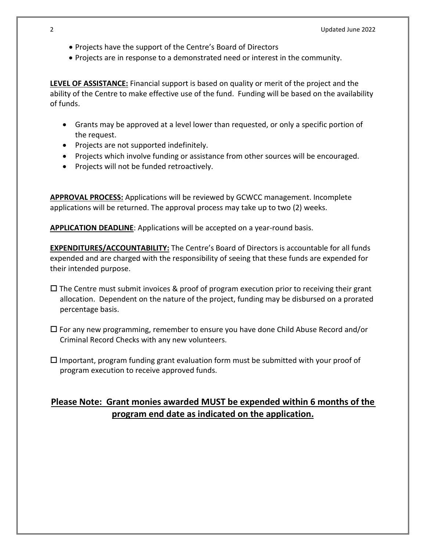- Projects have the support of the Centre's Board of Directors
- Projects are in response to a demonstrated need or interest in the community.

**LEVEL OF ASSISTANCE:** Financial support is based on quality or merit of the project and the ability of the Centre to make effective use of the fund. Funding will be based on the availability of funds.

- Grants may be approved at a level lower than requested, or only a specific portion of the request.
- Projects are not supported indefinitely.
- Projects which involve funding or assistance from other sources will be encouraged.
- Projects will not be funded retroactively.

**APPROVAL PROCESS:** Applications will be reviewed by GCWCC management. Incomplete applications will be returned. The approval process may take up to two (2) weeks.

**APPLICATION DEADLINE**: Applications will be accepted on a year-round basis.

**EXPENDITURES/ACCOUNTABILITY:** The Centre's Board of Directors is accountable for all funds expended and are charged with the responsibility of seeing that these funds are expended for their intended purpose.

- $\Box$  The Centre must submit invoices & proof of program execution prior to receiving their grant allocation. Dependent on the nature of the project, funding may be disbursed on a prorated percentage basis.
- $\square$  For any new programming, remember to ensure you have done Child Abuse Record and/or Criminal Record Checks with any new volunteers.
- $\square$  Important, program funding grant evaluation form must be submitted with your proof of program execution to receive approved funds.

# **Please Note: Grant monies awarded MUST be expended within 6 months of the program end date as indicated on the application.**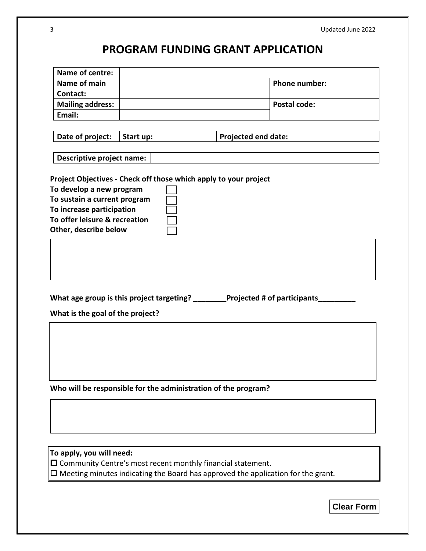# **PROGRAM FUNDING GRANT APPLICATION**

| Name of centre:                                            |                                                                  |                                                                               |  |
|------------------------------------------------------------|------------------------------------------------------------------|-------------------------------------------------------------------------------|--|
| Name of main                                               |                                                                  | <b>Phone number:</b>                                                          |  |
| Contact:                                                   |                                                                  |                                                                               |  |
| <b>Mailing address:</b>                                    |                                                                  | <b>Postal code:</b>                                                           |  |
| Email:                                                     |                                                                  |                                                                               |  |
|                                                            |                                                                  |                                                                               |  |
| Date of project:                                           | Start up:                                                        | <b>Projected end date:</b>                                                    |  |
|                                                            |                                                                  |                                                                               |  |
| <b>Descriptive project name:</b>                           |                                                                  |                                                                               |  |
|                                                            |                                                                  |                                                                               |  |
|                                                            | Project Objectives - Check off those which apply to your project |                                                                               |  |
| To develop a new program                                   |                                                                  |                                                                               |  |
| To sustain a current program                               |                                                                  |                                                                               |  |
| To increase participation<br>To offer leisure & recreation |                                                                  |                                                                               |  |
|                                                            |                                                                  |                                                                               |  |
| Other, describe below                                      |                                                                  |                                                                               |  |
|                                                            |                                                                  |                                                                               |  |
|                                                            |                                                                  |                                                                               |  |
|                                                            |                                                                  |                                                                               |  |
|                                                            |                                                                  |                                                                               |  |
|                                                            |                                                                  |                                                                               |  |
|                                                            |                                                                  | What age group is this project targeting? _______Projected # of participants_ |  |
| What is the goal of the project?                           |                                                                  |                                                                               |  |
|                                                            |                                                                  |                                                                               |  |
|                                                            |                                                                  |                                                                               |  |
|                                                            |                                                                  |                                                                               |  |
|                                                            |                                                                  |                                                                               |  |
|                                                            |                                                                  |                                                                               |  |
|                                                            |                                                                  |                                                                               |  |

**Who will be responsible for the administration of the program?**

**To apply, you will need:** 

 $\Box$  Community Centre's most recent monthly financial statement.

Meeting minutes indicating the Board has approved the application for the grant*.*

**Clear Form**